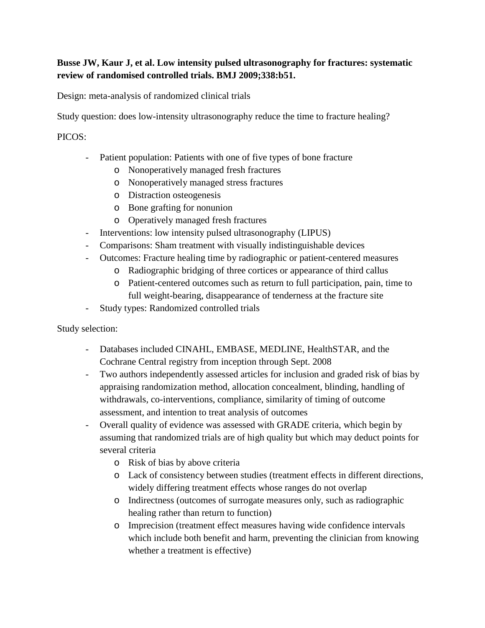## **Busse JW, Kaur J, et al. Low intensity pulsed ultrasonography for fractures: systematic review of randomised controlled trials. BMJ 2009;338:b51.**

Design: meta-analysis of randomized clinical trials

Study question: does low-intensity ultrasonography reduce the time to fracture healing?

## PICOS:

- Patient population: Patients with one of five types of bone fracture
	- o Nonoperatively managed fresh fractures
	- o Nonoperatively managed stress fractures
	- o Distraction osteogenesis
	- o Bone grafting for nonunion
	- o Operatively managed fresh fractures
- Interventions: low intensity pulsed ultrasonography (LIPUS)
- Comparisons: Sham treatment with visually indistinguishable devices
- Outcomes: Fracture healing time by radiographic or patient-centered measures
	- o Radiographic bridging of three cortices or appearance of third callus
		- o Patient-centered outcomes such as return to full participation, pain, time to full weight-bearing, disappearance of tenderness at the fracture site
- Study types: Randomized controlled trials

Study selection:

- Databases included CINAHL, EMBASE, MEDLINE, HealthSTAR, and the Cochrane Central registry from inception through Sept. 2008
- Two authors independently assessed articles for inclusion and graded risk of bias by appraising randomization method, allocation concealment, blinding, handling of withdrawals, co-interventions, compliance, similarity of timing of outcome assessment, and intention to treat analysis of outcomes
- Overall quality of evidence was assessed with GRADE criteria, which begin by assuming that randomized trials are of high quality but which may deduct points for several criteria
	- o Risk of bias by above criteria
	- o Lack of consistency between studies (treatment effects in different directions, widely differing treatment effects whose ranges do not overlap
	- o Indirectness (outcomes of surrogate measures only, such as radiographic healing rather than return to function)
	- o Imprecision (treatment effect measures having wide confidence intervals which include both benefit and harm, preventing the clinician from knowing whether a treatment is effective)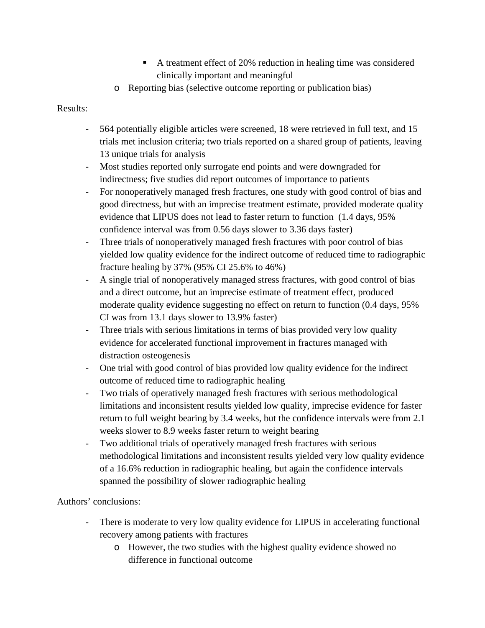- A treatment effect of 20% reduction in healing time was considered clinically important and meaningful
- o Reporting bias (selective outcome reporting or publication bias)

## Results:

- 564 potentially eligible articles were screened, 18 were retrieved in full text, and 15 trials met inclusion criteria; two trials reported on a shared group of patients, leaving 13 unique trials for analysis
- Most studies reported only surrogate end points and were downgraded for indirectness; five studies did report outcomes of importance to patients
- For nonoperatively managed fresh fractures, one study with good control of bias and good directness, but with an imprecise treatment estimate, provided moderate quality evidence that LIPUS does not lead to faster return to function (1.4 days, 95% confidence interval was from 0.56 days slower to 3.36 days faster)
- Three trials of nonoperatively managed fresh fractures with poor control of bias yielded low quality evidence for the indirect outcome of reduced time to radiographic fracture healing by 37% (95% CI 25.6% to 46%)
- A single trial of nonoperatively managed stress fractures, with good control of bias and a direct outcome, but an imprecise estimate of treatment effect, produced moderate quality evidence suggesting no effect on return to function (0.4 days, 95% CI was from 13.1 days slower to 13.9% faster)
- Three trials with serious limitations in terms of bias provided very low quality evidence for accelerated functional improvement in fractures managed with distraction osteogenesis
- One trial with good control of bias provided low quality evidence for the indirect outcome of reduced time to radiographic healing
- Two trials of operatively managed fresh fractures with serious methodological limitations and inconsistent results yielded low quality, imprecise evidence for faster return to full weight bearing by 3.4 weeks, but the confidence intervals were from 2.1 weeks slower to 8.9 weeks faster return to weight bearing
- Two additional trials of operatively managed fresh fractures with serious methodological limitations and inconsistent results yielded very low quality evidence of a 16.6% reduction in radiographic healing, but again the confidence intervals spanned the possibility of slower radiographic healing

Authors' conclusions:

- There is moderate to very low quality evidence for LIPUS in accelerating functional recovery among patients with fractures
	- o However, the two studies with the highest quality evidence showed no difference in functional outcome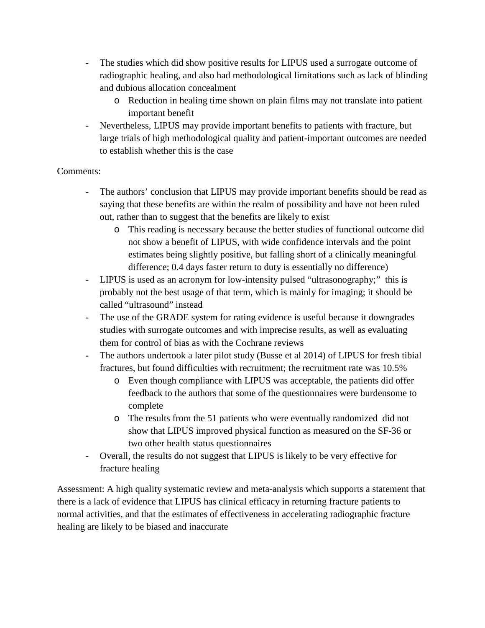- The studies which did show positive results for LIPUS used a surrogate outcome of radiographic healing, and also had methodological limitations such as lack of blinding and dubious allocation concealment
	- o Reduction in healing time shown on plain films may not translate into patient important benefit
- Nevertheless, LIPUS may provide important benefits to patients with fracture, but large trials of high methodological quality and patient-important outcomes are needed to establish whether this is the case

## Comments:

- The authors' conclusion that LIPUS may provide important benefits should be read as saying that these benefits are within the realm of possibility and have not been ruled out, rather than to suggest that the benefits are likely to exist
	- o This reading is necessary because the better studies of functional outcome did not show a benefit of LIPUS, with wide confidence intervals and the point estimates being slightly positive, but falling short of a clinically meaningful difference; 0.4 days faster return to duty is essentially no difference)
- LIPUS is used as an acronym for low-intensity pulsed "ultrasonography;" this is probably not the best usage of that term, which is mainly for imaging; it should be called "ultrasound" instead
- The use of the GRADE system for rating evidence is useful because it downgrades studies with surrogate outcomes and with imprecise results, as well as evaluating them for control of bias as with the Cochrane reviews
- The authors undertook a later pilot study (Busse et al 2014) of LIPUS for fresh tibial fractures, but found difficulties with recruitment; the recruitment rate was 10.5%
	- o Even though compliance with LIPUS was acceptable, the patients did offer feedback to the authors that some of the questionnaires were burdensome to complete
	- o The results from the 51 patients who were eventually randomized did not show that LIPUS improved physical function as measured on the SF-36 or two other health status questionnaires
- Overall, the results do not suggest that LIPUS is likely to be very effective for fracture healing

Assessment: A high quality systematic review and meta-analysis which supports a statement that there is a lack of evidence that LIPUS has clinical efficacy in returning fracture patients to normal activities, and that the estimates of effectiveness in accelerating radiographic fracture healing are likely to be biased and inaccurate